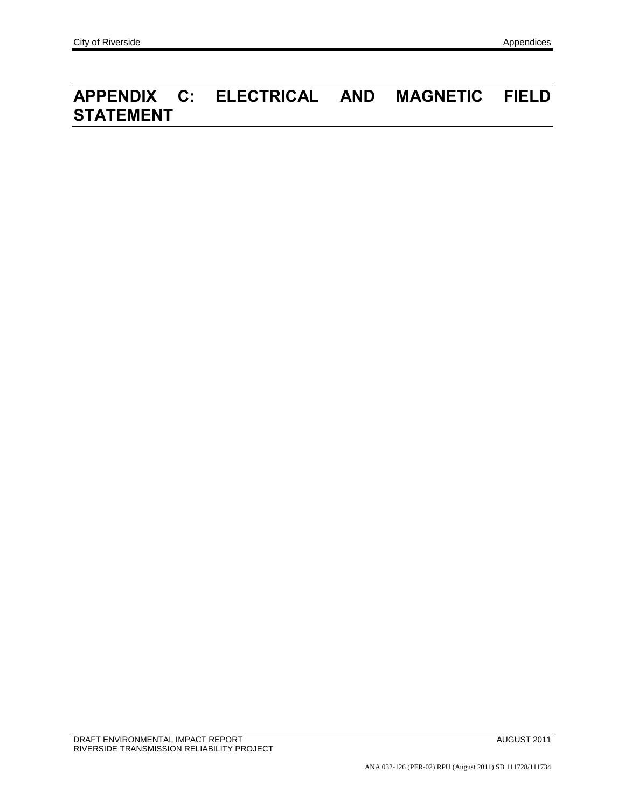## **APPENDIX C: ELECTRICAL AND MAGNETIC FIELD STATEMENT**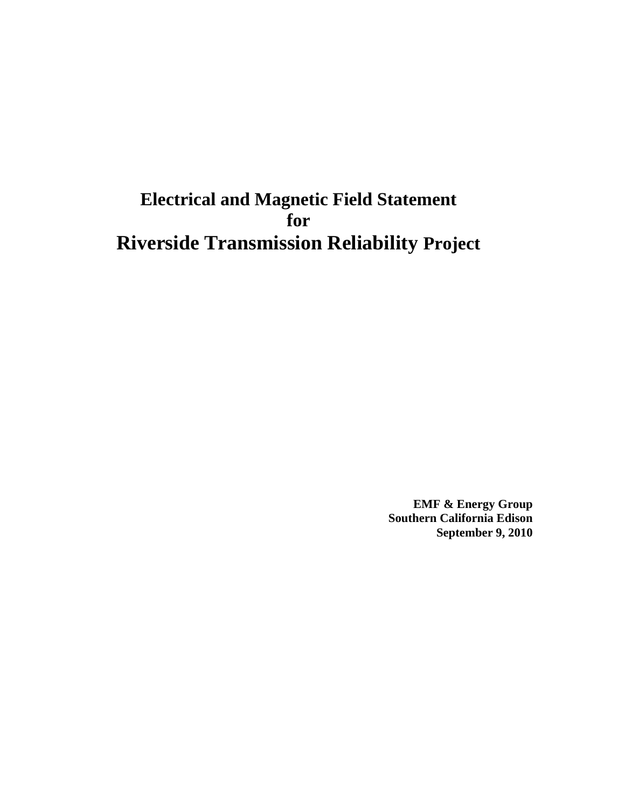## **Electrical and Magnetic Field Statement for Riverside Transmission Reliability Project**

**EMF & Energy Group Southern California Edison September 9, 2010**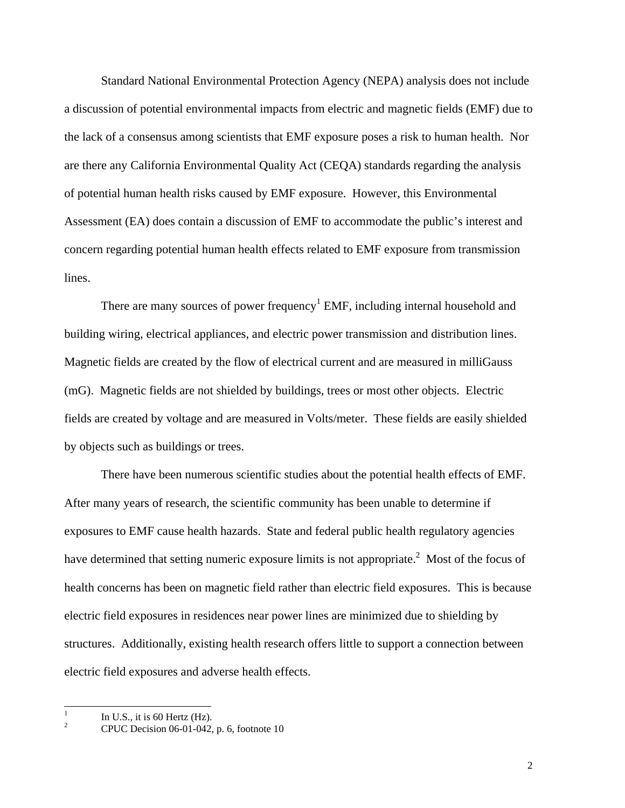Standard National Environmental Protection Agency (NEPA) analysis does not include a discussion of potential environmental impacts from electric and magnetic fields (EMF) due to the lack of a consensus among scientists that EMF exposure poses a risk to human health. Nor are there any California Environmental Quality Act (CEQA) standards regarding the analysis of potential human health risks caused by EMF exposure. However, this Environmental Assessment (EA) does contain a discussion of EMF to accommodate the public's interest and concern regarding potential human health effects related to EMF exposure from transmission lines.

There are many sources of power frequency<sup>1</sup> EMF, including internal household and building wiring, electrical appliances, and electric power transmission and distribution lines. Magnetic fields are created by the flow of electrical current and are measured in milliGauss (mG). Magnetic fields are not shielded by buildings, trees or most other objects. Electric fields are created by voltage and are measured in Volts/meter. These fields are easily shielded by objects such as buildings or trees.

There have been numerous scientific studies about the potential health effects of EMF. After many years of research, the scientific community has been unable to determine if exposures to EMF cause health hazards. State and federal public health regulatory agencies have determined that setting numeric exposure limits is not appropriate.<sup>2</sup> Most of the focus of health concerns has been on magnetic field rather than electric field exposures. This is because electric field exposures in residences near power lines are minimized due to shielding by structures. Additionally, existing health research offers little to support a connection between electric field exposures and adverse health effects.

 $\frac{1}{1}$ In U.S., it is 60 Hertz (Hz).

 $\overline{2}$ CPUC Decision 06-01-042, p. 6, footnote 10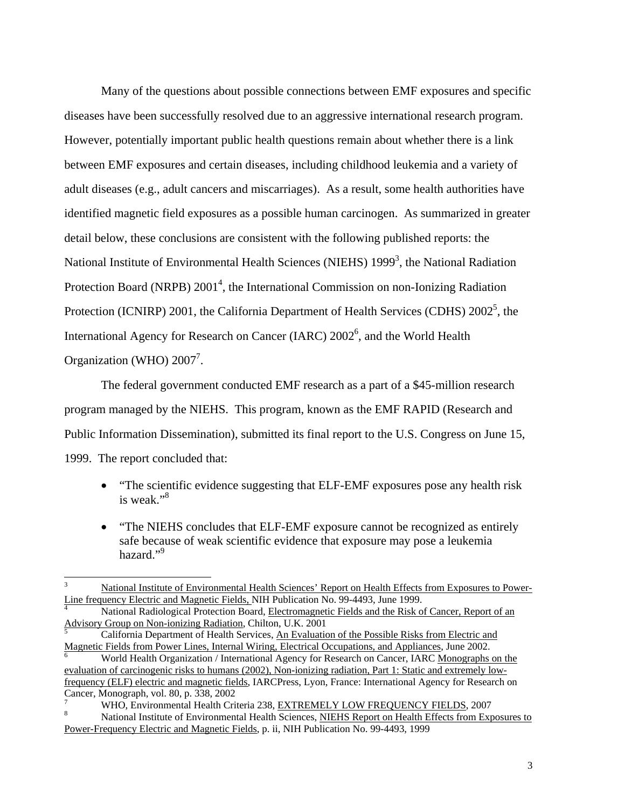Many of the questions about possible connections between EMF exposures and specific diseases have been successfully resolved due to an aggressive international research program. However, potentially important public health questions remain about whether there is a link between EMF exposures and certain diseases, including childhood leukemia and a variety of adult diseases (e.g., adult cancers and miscarriages). As a result, some health authorities have identified magnetic field exposures as a possible human carcinogen. As summarized in greater detail below, these conclusions are consistent with the following published reports: the National Institute of Environmental Health Sciences (NIEHS) 1999<sup>3</sup>, the National Radiation Protection Board (NRPB) 2001<sup>4</sup>, the International Commission on non-Ionizing Radiation Protection (ICNIRP) 2001, the California Department of Health Services (CDHS)  $2002^5$ , the International Agency for Research on Cancer (IARC)  $2002^6$ , and the World Health Organization (WHO)  $2007^7$ .

The federal government conducted EMF research as a part of a \$45-million research program managed by the NIEHS. This program, known as the EMF RAPID (Research and Public Information Dissemination), submitted its final report to the U.S. Congress on June 15, 1999. The report concluded that:

- "The scientific evidence suggesting that ELF-EMF exposures pose any health risk is weak."8
- "The NIEHS concludes that ELF-EMF exposure cannot be recognized as entirely safe because of weak scientific evidence that exposure may pose a leukemia hazard."<sup>9</sup>

 3 National Institute of Environmental Health Sciences' Report on Health Effects from Exposures to Power-Line frequency Electric and Magnetic Fields, NIH Publication No. 99-4493, June 1999.

National Radiological Protection Board, Electromagnetic Fields and the Risk of Cancer, Report of an Advisory Group on Non-ionizing Radiation, Chilton, U.K. 2001 5

California Department of Health Services, An Evaluation of the Possible Risks from Electric and Magnetic Fields from Power Lines, Internal Wiring, Electrical Occupations, and Appliances, June 2002.

World Health Organization / International Agency for Research on Cancer, IARC Monographs on the evaluation of carcinogenic risks to humans (2002), Non-ionizing radiation, Part 1: Static and extremely lowfrequency (ELF) electric and magnetic fields, IARCPress, Lyon, France: International Agency for Research on Cancer, Monograph, vol. 80, p. 338, 2002

<sup>7</sup> WHO, Environmental Health Criteria 238, EXTREMELY LOW FREQUENCY FIELDS, 2007 8

National Institute of Environmental Health Sciences, NIEHS Report on Health Effects from Exposures to Power-Frequency Electric and Magnetic Fields, p. ii, NIH Publication No. 99-4493, 1999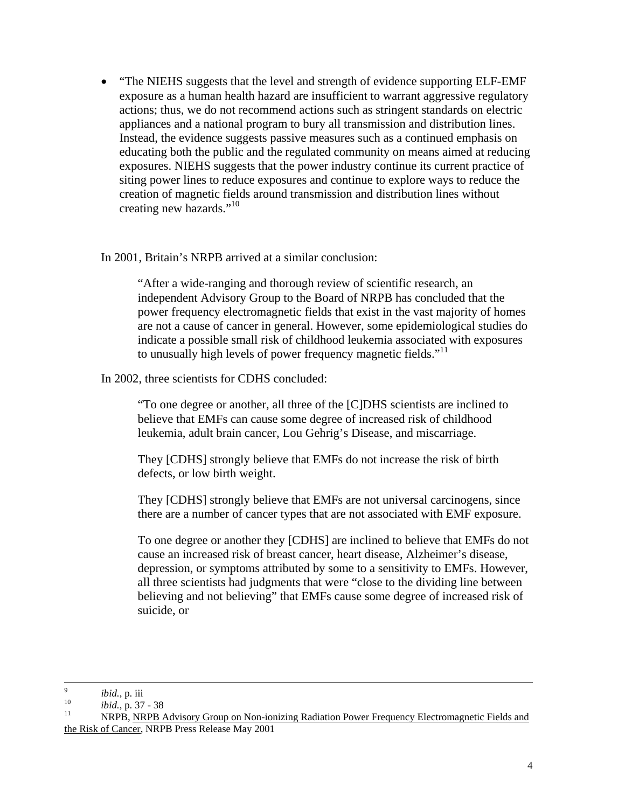"The NIEHS suggests that the level and strength of evidence supporting ELF-EMF exposure as a human health hazard are insufficient to warrant aggressive regulatory actions; thus, we do not recommend actions such as stringent standards on electric appliances and a national program to bury all transmission and distribution lines. Instead, the evidence suggests passive measures such as a continued emphasis on educating both the public and the regulated community on means aimed at reducing exposures. NIEHS suggests that the power industry continue its current practice of siting power lines to reduce exposures and continue to explore ways to reduce the creation of magnetic fields around transmission and distribution lines without creating new hazards."<sup>10</sup>

## In 2001, Britain's NRPB arrived at a similar conclusion:

"After a wide-ranging and thorough review of scientific research, an independent Advisory Group to the Board of NRPB has concluded that the power frequency electromagnetic fields that exist in the vast majority of homes are not a cause of cancer in general. However, some epidemiological studies do indicate a possible small risk of childhood leukemia associated with exposures to unusually high levels of power frequency magnetic fields."<sup>11</sup>

## In 2002, three scientists for CDHS concluded:

"To one degree or another, all three of the [C]DHS scientists are inclined to believe that EMFs can cause some degree of increased risk of childhood leukemia, adult brain cancer, Lou Gehrig's Disease, and miscarriage.

They [CDHS] strongly believe that EMFs do not increase the risk of birth defects, or low birth weight.

They [CDHS] strongly believe that EMFs are not universal carcinogens, since there are a number of cancer types that are not associated with EMF exposure.

To one degree or another they [CDHS] are inclined to believe that EMFs do not cause an increased risk of breast cancer, heart disease, Alzheimer's disease, depression, or symptoms attributed by some to a sensitivity to EMFs. However, all three scientists had judgments that were "close to the dividing line between believing and not believing" that EMFs cause some degree of increased risk of suicide, or

<sup>-&</sup>lt;br>9

<sup>&</sup>lt;sup>9</sup> *ibid.*, p. iii<br><sup>10</sup> *ibid.*, p. 37 - 38<br><sup>11</sup> NRPB, <u>NRPB Advisory Group on Non-ionizing Radiation Power Frequency Electromagnetic Fields and</u> the Risk of Cancer, NRPB Press Release May 2001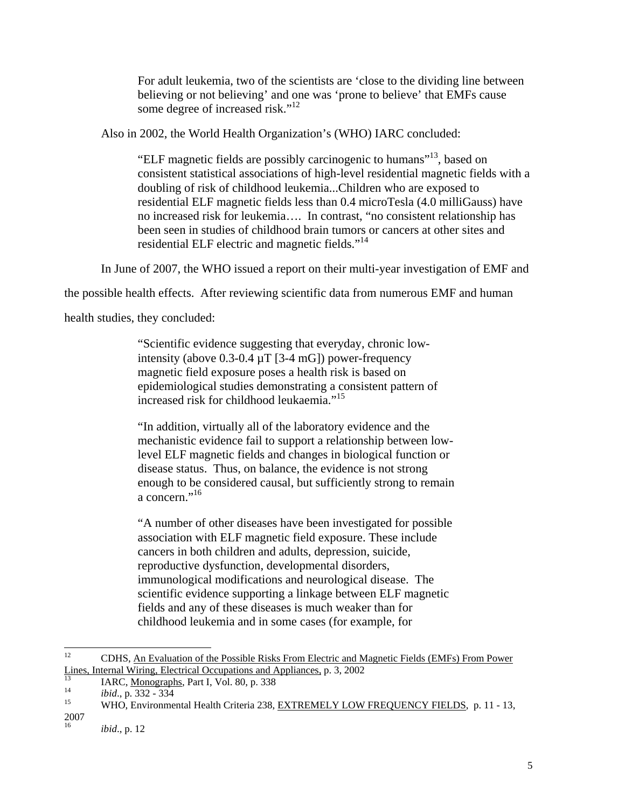For adult leukemia, two of the scientists are 'close to the dividing line between believing or not believing' and one was 'prone to believe' that EMFs cause some degree of increased risk."<sup>12</sup>

Also in 2002, the World Health Organization's (WHO) IARC concluded:

"ELF magnetic fields are possibly carcinogenic to humans"13, based on consistent statistical associations of high-level residential magnetic fields with a doubling of risk of childhood leukemia...Children who are exposed to residential ELF magnetic fields less than 0.4 microTesla (4.0 milliGauss) have no increased risk for leukemia…. In contrast, "no consistent relationship has been seen in studies of childhood brain tumors or cancers at other sites and residential ELF electric and magnetic fields."<sup>14</sup>

In June of 2007, the WHO issued a report on their multi-year investigation of EMF and

the possible health effects. After reviewing scientific data from numerous EMF and human

health studies, they concluded:

"Scientific evidence suggesting that everyday, chronic lowintensity (above 0.3-0.4 µT [3-4 mG]) power-frequency magnetic field exposure poses a health risk is based on epidemiological studies demonstrating a consistent pattern of increased risk for childhood leukaemia."<sup>15</sup>

"In addition, virtually all of the laboratory evidence and the mechanistic evidence fail to support a relationship between lowlevel ELF magnetic fields and changes in biological function or disease status. Thus, on balance, the evidence is not strong enough to be considered causal, but sufficiently strong to remain a concern."<sup>16</sup>

"A number of other diseases have been investigated for possible association with ELF magnetic field exposure. These include cancers in both children and adults, depression, suicide, reproductive dysfunction, developmental disorders, immunological modifications and neurological disease. The scientific evidence supporting a linkage between ELF magnetic fields and any of these diseases is much weaker than for childhood leukemia and in some cases (for example, for

 $12$ 12 CDHS, An Evaluation of the Possible Risks From Electric and Magnetic Fields (EMFs) From Power Lines, Internal Wiring, Electrical Occupations and Appliances, p. 3, 2002<br>
IARC, <u>Monographs</u>, Part I, Vol. 80, p. 338<br> *ibid.*, p. 332 - 334<br>
WHO, Environmental Health Criteria 238, EXTREMELY LOW FREQUENCY FIELDS, p. 11 -

<sup>2007</sup> 

*ibid.*, p. 12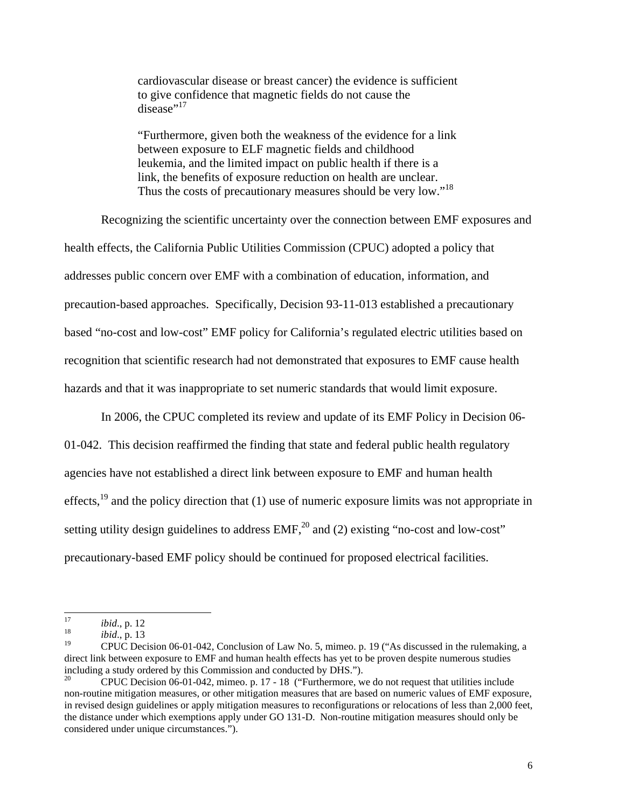cardiovascular disease or breast cancer) the evidence is sufficient to give confidence that magnetic fields do not cause the  $disease$ <sup>,17</sup>

"Furthermore, given both the weakness of the evidence for a link between exposure to ELF magnetic fields and childhood leukemia, and the limited impact on public health if there is a link, the benefits of exposure reduction on health are unclear. Thus the costs of precautionary measures should be very low."<sup>18</sup>

Recognizing the scientific uncertainty over the connection between EMF exposures and health effects, the California Public Utilities Commission (CPUC) adopted a policy that addresses public concern over EMF with a combination of education, information, and precaution-based approaches. Specifically, Decision 93-11-013 established a precautionary based "no-cost and low-cost" EMF policy for California's regulated electric utilities based on recognition that scientific research had not demonstrated that exposures to EMF cause health hazards and that it was inappropriate to set numeric standards that would limit exposure.

In 2006, the CPUC completed its review and update of its EMF Policy in Decision 06- 01-042. This decision reaffirmed the finding that state and federal public health regulatory agencies have not established a direct link between exposure to EMF and human health effects, $^{19}$  and the policy direction that (1) use of numeric exposure limits was not appropriate in setting utility design guidelines to address  $EMF<sub>1</sub><sup>20</sup>$  and (2) existing "no-cost and low-cost" precautionary-based EMF policy should be continued for proposed electrical facilities.

<sup>17</sup> 

<sup>17</sup> *ibid.*, p. 12<br>
<sup>18</sup> *ibid.*, p. 13<br>
<sup>19</sup> CPLIC Dec

<sup>19</sup> CPUC Decision 06-01-042, Conclusion of Law No. 5, mimeo. p. 19 ("As discussed in the rulemaking, a direct link between exposure to EMF and human health effects has yet to be proven despite numerous studies including a study ordered by this Commission and conducted by DHS.").

<sup>20</sup> CPUC Decision 06-01-042, mimeo. p. 17 - 18 ("Furthermore, we do not request that utilities include non-routine mitigation measures, or other mitigation measures that are based on numeric values of EMF exposure, in revised design guidelines or apply mitigation measures to reconfigurations or relocations of less than 2,000 feet, the distance under which exemptions apply under GO 131-D. Non-routine mitigation measures should only be considered under unique circumstances.").